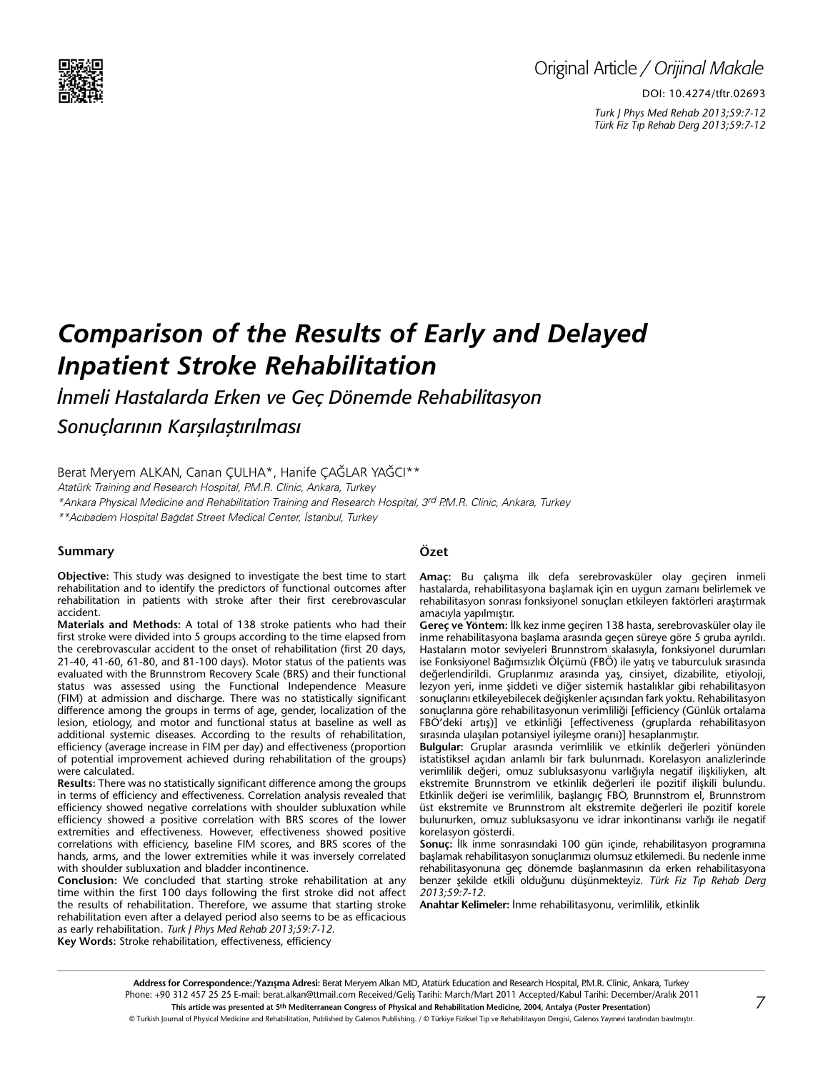

# Original Article */ Orijinal Makale*

DOI: 10.4274/tftr.02693 *Turk J Phys Med Rehab 2013;59:7-12 Türk Fiz T›p Rehab Derg 2013;59:7-12*

# *Comparison of the Results of Early and Delayed Inpatient Stroke Rehabilitation*

*İnmeli Hastalarda Erken ve Geç Dönemde Rehabilitasyon* 

*Sonuçlarının Karşılaştırılması*

Berat Meryem Alkan, Canan Çulha\*, Hanife Çağlar Yağcı\*\*

Atatürk Training and Research Hospital, P.M.R. Clinic, Ankara, Turkey

\*Ankara Physical Medicine and Rehabilitation Training and Research Hospital, 3rd P.M.R. Clinic, Ankara, Turkey

\*\*Acıbadem Hospital Bağdat Street Medical Center, İstanbul, Turkey

#### **Summary**

**Objective:** This study was designed to investigate the best time to start rehabilitation and to identify the predictors of functional outcomes after rehabilitation in patients with stroke after their first cerebrovascular accident.

**Materials and Methods:** A total of 138 stroke patients who had their first stroke were divided into 5 groups according to the time elapsed from the cerebrovascular accident to the onset of rehabilitation (first 20 days, 21-40, 41-60, 61-80, and 81-100 days). Motor status of the patients was evaluated with the Brunnstrom Recovery Scale (BRS) and their functional status was assessed using the Functional Independence Measure (FIM) at admission and discharge. There was no statistically significant difference among the groups in terms of age, gender, localization of the lesion, etiology, and motor and functional status at baseline as well as additional systemic diseases. According to the results of rehabilitation, efficiency (average increase in FIM per day) and effectiveness (proportion of potential improvement achieved during rehabilitation of the groups) were calculated.

**Results:** There was no statistically significant difference among the groups in terms of efficiency and effectiveness. Correlation analysis revealed that efficiency showed negative correlations with shoulder subluxation while efficiency showed a positive correlation with BRS scores of the lower extremities and effectiveness. However, effectiveness showed positive correlations with efficiency, baseline FIM scores, and BRS scores of the hands, arms, and the lower extremities while it was inversely correlated with shoulder subluxation and bladder incontinence.

**Conclusion:** We concluded that starting stroke rehabilitation at any time within the first 100 days following the first stroke did not affect the results of rehabilitation. Therefore, we assume that starting stroke rehabilitation even after a delayed period also seems to be as efficacious as early rehabilitation. *Turk J Phys Med Rehab 2013;59:7-12.*

**Key Words:** Stroke rehabilitation, effectiveness, efficiency

# **Özet**

**Amaç:** Bu çalışma ilk defa serebrovasküler olay geçiren inmeli hastalarda, rehabilitasyona başlamak için en uygun zamanı belirlemek ve rehabilitasyon sonrası fonksiyonel sonuçları etkileyen faktörleri araştırmak amacıyla yapılmıştır.

**Gereç ve Yöntem:** İlk kez inme geçiren 138 hasta, serebrovasküler olay ile inme rehabilitasyona başlama arasında geçen süreye göre 5 gruba ayrıldı. Hastaların motor seviyeleri Brunnstrom skalasıyla, fonksiyonel durumları ise Fonksiyonel Bağımsızlık Ölçümü (FBÖ) ile yatış ve taburculuk sırasında değerlendirildi. Gruplarımız arasında yaş, cinsiyet, dizabilite, etiyoloji, lezyon yeri, inme şiddeti ve diğer sistemik hastalıklar gibi rehabilitasyon sonuçlarını etkileyebilecek değişkenler açısından fark yoktu. Rehabilitasyon sonuçlarına göre rehabilitasyonun verimliliği [efficiency (Günlük ortalama FBÖ'deki artış)] ve etkinliği [effectiveness (gruplarda rehabilitasyon sırasında ulaşılan potansiyel iyileşme oranı)] hesaplanmıştır.

**Bulgular:** Gruplar arasında verimlilik ve etkinlik değerleri yönünden istatistiksel açıdan anlamlı bir fark bulunmadı. Korelasyon analizlerinde verimlilik değeri, omuz subluksasyonu varlığıyla negatif ilişkiliyken, alt ekstremite Brunnstrom ve etkinlik değerleri ile pozitif ilişkili bulundu. Etkinlik değeri ise verimlilik, başlangıç FBÖ, Brunnstrom el, Brunnstrom üst ekstremite ve Brunnstrom alt ekstremite değerleri ile pozitif korele bulunurken, omuz subluksasyonu ve idrar inkontinansı varlığı ile negatif korelasyon gösterdi.

**Sonuç:** İlk inme sonrasındaki 100 gün içinde, rehabilitasyon programına başlamak rehabilitasyon sonuçlarımızı olumsuz etkilemedi. Bu nedenle inme rehabilitasyonuna geç dönemde başlanmasının da erken rehabilitasyona benzer şekilde etkili olduğunu düşünmekteyiz. *Türk Fiz T›p Rehab Derg 2013;59:7-12*.

**Anahtar Kelimeler:** İnme rehabilitasyonu, verimlilik, etkinlik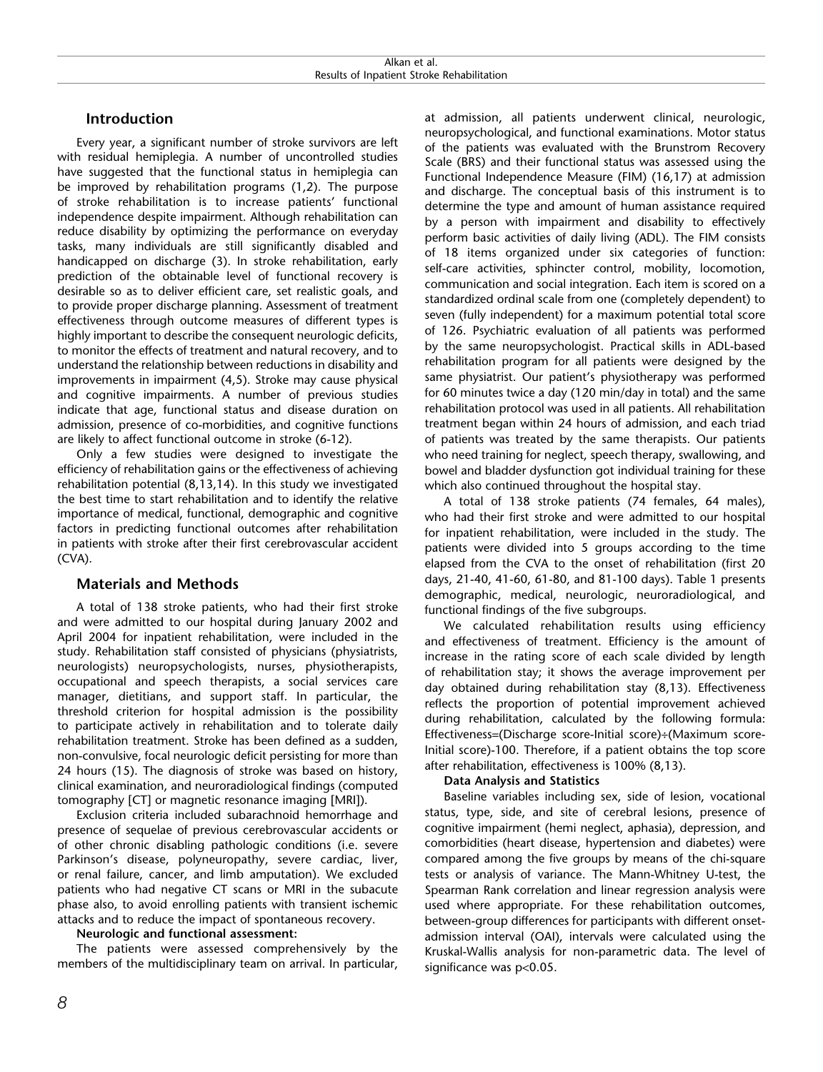# **Introduction**

Every year, a significant number of stroke survivors are left with residual hemiplegia. A number of uncontrolled studies have suggested that the functional status in hemiplegia can be improved by rehabilitation programs (1,2). The purpose of stroke rehabilitation is to increase patients' functional independence despite impairment. Although rehabilitation can reduce disability by optimizing the performance on everyday tasks, many individuals are still significantly disabled and handicapped on discharge (3). In stroke rehabilitation, early prediction of the obtainable level of functional recovery is desirable so as to deliver efficient care, set realistic goals, and to provide proper discharge planning. Assessment of treatment effectiveness through outcome measures of different types is highly important to describe the consequent neurologic deficits, to monitor the effects of treatment and natural recovery, and to understand the relationship between reductions in disability and improvements in impairment (4,5). Stroke may cause physical and cognitive impairments. A number of previous studies indicate that age, functional status and disease duration on admission, presence of co-morbidities, and cognitive functions are likely to affect functional outcome in stroke (6-12).

Only a few studies were designed to investigate the efficiency of rehabilitation gains or the effectiveness of achieving rehabilitation potential (8,13,14). In this study we investigated the best time to start rehabilitation and to identify the relative importance of medical, functional, demographic and cognitive factors in predicting functional outcomes after rehabilitation in patients with stroke after their first cerebrovascular accident (CVA).

# **Materials and Methods**

A total of 138 stroke patients, who had their first stroke and were admitted to our hospital during January 2002 and April 2004 for inpatient rehabilitation, were included in the study. Rehabilitation staff consisted of physicians (physiatrists, neurologists) neuropsychologists, nurses, physiotherapists, occupational and speech therapists, a social services care manager, dietitians, and support staff. In particular, the threshold criterion for hospital admission is the possibility to participate actively in rehabilitation and to tolerate daily rehabilitation treatment. Stroke has been defined as a sudden, non-convulsive, focal neurologic deficit persisting for more than 24 hours (15). The diagnosis of stroke was based on history, clinical examination, and neuroradiological findings (computed tomography [CT] or magnetic resonance imaging [MRI]).

Exclusion criteria included subarachnoid hemorrhage and presence of sequelae of previous cerebrovascular accidents or of other chronic disabling pathologic conditions (i.e. severe Parkinson's disease, polyneuropathy, severe cardiac, liver, or renal failure, cancer, and limb amputation). We excluded patients who had negative CT scans or MRI in the subacute phase also, to avoid enrolling patients with transient ischemic attacks and to reduce the impact of spontaneous recovery.

#### **Neurologic and functional assessment:**

The patients were assessed comprehensively by the members of the multidisciplinary team on arrival. In particular,

at admission, all patients underwent clinical, neurologic, neuropsychological, and functional examinations. Motor status of the patients was evaluated with the Brunstrom Recovery Scale (BRS) and their functional status was assessed using the Functional Independence Measure (FIM) (16,17) at admission and discharge. The conceptual basis of this instrument is to determine the type and amount of human assistance required by a person with impairment and disability to effectively perform basic activities of daily living (ADL). The FIM consists of 18 items organized under six categories of function: self-care activities, sphincter control, mobility, locomotion, communication and social integration. Each item is scored on a standardized ordinal scale from one (completely dependent) to seven (fully independent) for a maximum potential total score of 126. Psychiatric evaluation of all patients was performed by the same neuropsychologist. Practical skills in ADL-based rehabilitation program for all patients were designed by the same physiatrist. Our patient's physiotherapy was performed for 60 minutes twice a day (120 min/day in total) and the same rehabilitation protocol was used in all patients. All rehabilitation treatment began within 24 hours of admission, and each triad of patients was treated by the same therapists. Our patients who need training for neglect, speech therapy, swallowing, and bowel and bladder dysfunction got individual training for these which also continued throughout the hospital stay.

A total of 138 stroke patients (74 females, 64 males), who had their first stroke and were admitted to our hospital for inpatient rehabilitation, were included in the study. The patients were divided into 5 groups according to the time elapsed from the CVA to the onset of rehabilitation (first 20 days, 21-40, 41-60, 61-80, and 81-100 days). Table 1 presents demographic, medical, neurologic, neuroradiological, and functional findings of the five subgroups.

We calculated rehabilitation results using efficiency and effectiveness of treatment. Efficiency is the amount of increase in the rating score of each scale divided by length of rehabilitation stay; it shows the average improvement per day obtained during rehabilitation stay (8,13). Effectiveness reflects the proportion of potential improvement achieved during rehabilitation, calculated by the following formula: Effectiveness=(Discharge score-Initial score)÷(Maximum score-Initial score)-100. Therefore, if a patient obtains the top score after rehabilitation, effectiveness is 100% (8,13).

### **Data Analysis and Statistics**

Baseline variables including sex, side of lesion, vocational status, type, side, and site of cerebral lesions, presence of cognitive impairment (hemi neglect, aphasia), depression, and comorbidities (heart disease, hypertension and diabetes) were compared among the five groups by means of the chi-square tests or analysis of variance. The Mann-Whitney U-test, the Spearman Rank correlation and linear regression analysis were used where appropriate. For these rehabilitation outcomes, between-group differences for participants with different onsetadmission interval (OAI), intervals were calculated using the Kruskal-Wallis analysis for non-parametric data. The level of significance was p<0.05.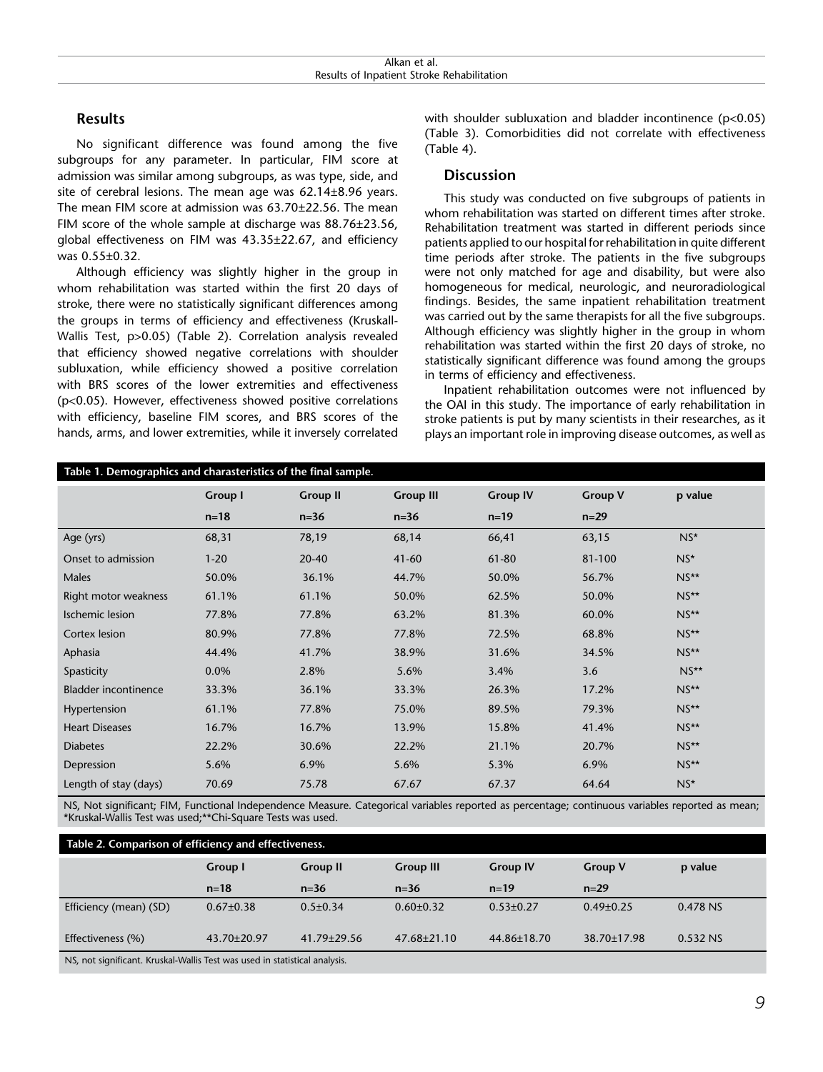## **Results**

No significant difference was found among the five subgroups for any parameter. In particular, FIM score at admission was similar among subgroups, as was type, side, and site of cerebral lesions. The mean age was 62.14±8.96 years. The mean FIM score at admission was 63.70±22.56. The mean FIM score of the whole sample at discharge was 88.76±23.56, global effectiveness on FIM was 43.35±22.67, and efficiency was 0.55±0.32.

Although efficiency was slightly higher in the group in whom rehabilitation was started within the first 20 days of stroke, there were no statistically significant differences among the groups in terms of efficiency and effectiveness (Kruskall-Wallis Test, p>0.05) (Table 2). Correlation analysis revealed that efficiency showed negative correlations with shoulder subluxation, while efficiency showed a positive correlation with BRS scores of the lower extremities and effectiveness (p<0.05). However, effectiveness showed positive correlations with efficiency, baseline FIM scores, and BRS scores of the hands, arms, and lower extremities, while it inversely correlated with shoulder subluxation and bladder incontinence (p<0.05) (Table 3). Comorbidities did not correlate with effectiveness (Table 4).

### **Discussion**

This study was conducted on five subgroups of patients in whom rehabilitation was started on different times after stroke. Rehabilitation treatment was started in different periods since patients applied to our hospital for rehabilitation in quite different time periods after stroke. The patients in the five subgroups were not only matched for age and disability, but were also homogeneous for medical, neurologic, and neuroradiological findings. Besides, the same inpatient rehabilitation treatment was carried out by the same therapists for all the five subgroups. Although efficiency was slightly higher in the group in whom rehabilitation was started within the first 20 days of stroke, no statistically significant difference was found among the groups in terms of efficiency and effectiveness.

Inpatient rehabilitation outcomes were not influenced by the OAI in this study. The importance of early rehabilitation in stroke patients is put by many scientists in their researches, as it plays an important role in improving disease outcomes, as well as

| Table 1. Demographics and charasteristics of the final sample. |                |                 |                  |                 |                |         |
|----------------------------------------------------------------|----------------|-----------------|------------------|-----------------|----------------|---------|
|                                                                | <b>Group I</b> | <b>Group II</b> | <b>Group III</b> | <b>Group IV</b> | <b>Group V</b> | p value |
|                                                                | $n = 18$       | $n=36$          | $n = 36$         | $n = 19$        | $n=29$         |         |
| Age (yrs)                                                      | 68,31          | 78,19           | 68,14            | 66,41           | 63,15          | $NS*$   |
| Onset to admission                                             | $1 - 20$       | 20-40           | $41 - 60$        | 61-80           | 81-100         | $NS^*$  |
| Males                                                          | 50.0%          | 36.1%           | 44.7%            | 50.0%           | 56.7%          | $NS**$  |
| Right motor weakness                                           | 61.1%          | 61.1%           | 50.0%            | 62.5%           | 50.0%          | $NS**$  |
| <b>Ischemic lesion</b>                                         | 77.8%          | 77.8%           | 63.2%            | 81.3%           | 60.0%          | $NS**$  |
| Cortex lesion                                                  | 80.9%          | 77.8%           | 77.8%            | 72.5%           | 68.8%          | $NS**$  |
| Aphasia                                                        | 44.4%          | 41.7%           | 38.9%            | 31.6%           | 34.5%          | $NS**$  |
| Spasticity                                                     | 0.0%           | 2.8%            | 5.6%             | 3.4%            | 3.6            | $NS**$  |
| <b>Bladder incontinence</b>                                    | 33.3%          | 36.1%           | 33.3%            | 26.3%           | 17.2%          | $NS**$  |
| Hypertension                                                   | 61.1%          | 77.8%           | 75.0%            | 89.5%           | 79.3%          | $NS**$  |
| <b>Heart Diseases</b>                                          | 16.7%          | 16.7%           | 13.9%            | 15.8%           | 41.4%          | $NS**$  |
| <b>Diabetes</b>                                                | 22.2%          | 30.6%           | 22.2%            | 21.1%           | 20.7%          | $NS**$  |
| Depression                                                     | 5.6%           | 6.9%            | 5.6%             | 5.3%            | 6.9%           | $NS**$  |
| Length of stay (days)                                          | 70.69          | 75.78           | 67.67            | 67.37           | 64.64          | $NS*$   |

NS, Not significant; FIM, Functional Independence Measure. Categorical variables reported as percentage; continuous variables reported as mean; \*Kruskal-Wallis Test was used;\*\*Chi-Square Tests was used.

| Table 2. Comparison of efficiency and effectiveness.                                                                                                                                                                                                                                                                                                                                                                                                                                       |                   |                   |                   |                 |                 |          |
|--------------------------------------------------------------------------------------------------------------------------------------------------------------------------------------------------------------------------------------------------------------------------------------------------------------------------------------------------------------------------------------------------------------------------------------------------------------------------------------------|-------------------|-------------------|-------------------|-----------------|-----------------|----------|
|                                                                                                                                                                                                                                                                                                                                                                                                                                                                                            | Group I           | <b>Group II</b>   | <b>Group III</b>  | <b>Group IV</b> | <b>Group V</b>  | p value  |
|                                                                                                                                                                                                                                                                                                                                                                                                                                                                                            | $n = 18$          | $n = 36$          | $n = 36$          | $n = 19$        | $n=29$          |          |
| Efficiency (mean) (SD)                                                                                                                                                                                                                                                                                                                                                                                                                                                                     | $0.67 \pm 0.38$   | $0.5 \pm 0.34$    | $0.60 \pm 0.32$   | $0.53 \pm 0.27$ | $0.49 \pm 0.25$ | 0.478 NS |
| Effectiveness (%)                                                                                                                                                                                                                                                                                                                                                                                                                                                                          | $43.70 \pm 20.97$ | $41.79 \pm 29.56$ | $47.68 \pm 21.10$ | 44.86±18.70     | 38.70±17.98     | 0.532 NS |
| $\mathbf{1} \cdot \mathbf{1} \cdot \mathbf{1} \cdot \mathbf{1} \cdot \mathbf{1} \cdot \mathbf{1} \cdot \mathbf{1} \cdot \mathbf{1} \cdot \mathbf{1} \cdot \mathbf{1} \cdot \mathbf{1} \cdot \mathbf{1} \cdot \mathbf{1} \cdot \mathbf{1} \cdot \mathbf{1} \cdot \mathbf{1} \cdot \mathbf{1} \cdot \mathbf{1} \cdot \mathbf{1} \cdot \mathbf{1} \cdot \mathbf{1} \cdot \mathbf{1} \cdot \mathbf{1} \cdot \mathbf{1} \cdot \mathbf{1} \cdot \mathbf{1} \cdot \mathbf{1} \cdot \mathbf{$<br>. |                   |                   |                   |                 |                 |          |

NS, not significant. Kruskal-Wallis Test was used in statistical analysis.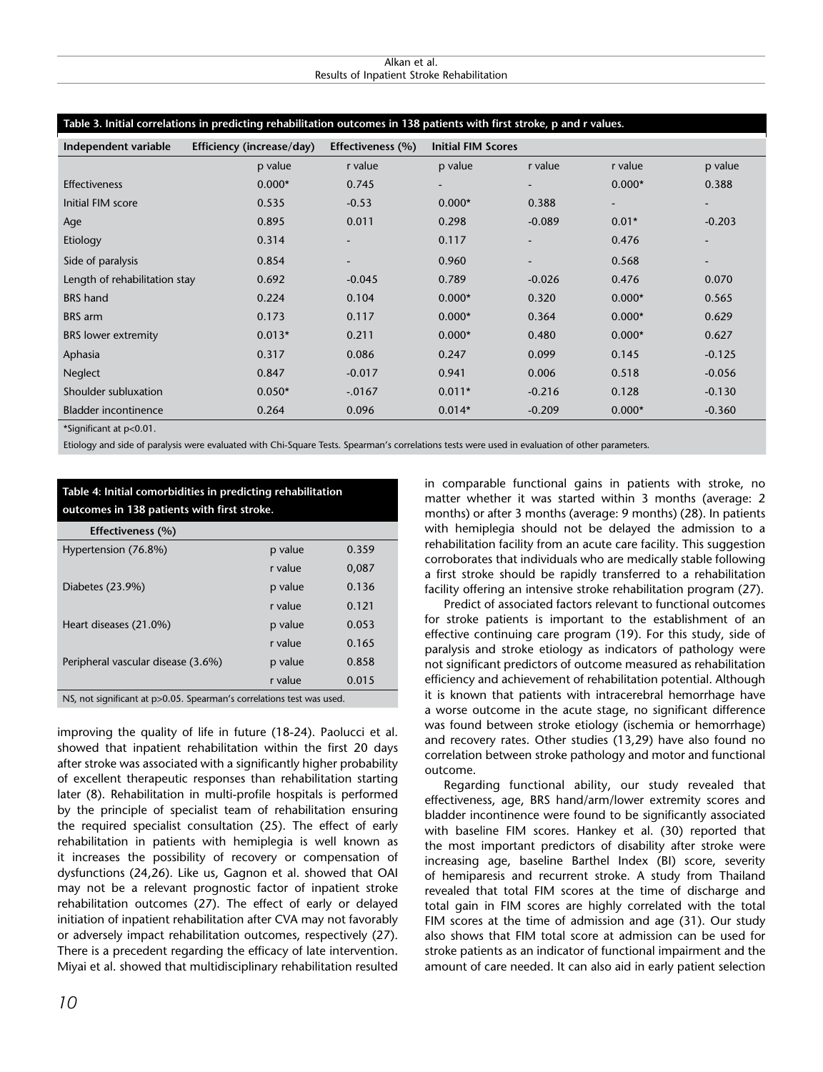#### Alkan et al. Results of Inpatient Stroke Rehabilitation

#### **Table 3. Initial correlations in predicting rehabilitation outcomes in 138 patients with first stroke, p and r values.**

| Independent variable          | Efficiency (increase/day) | Effectiveness (%)        | <b>Initial FIM Scores</b> |          |                          |                          |
|-------------------------------|---------------------------|--------------------------|---------------------------|----------|--------------------------|--------------------------|
|                               | p value                   | r value                  | p value                   | r value  | r value                  | p value                  |
| <b>Effectiveness</b>          | $0.000*$                  | 0.745                    | $\blacksquare$            | ۰.       | $0.000*$                 | 0.388                    |
| Initial FIM score             | 0.535                     | $-0.53$                  | $0.000*$                  | 0.388    | $\overline{\phantom{a}}$ | $\overline{\phantom{a}}$ |
| Age                           | 0.895                     | 0.011                    | 0.298                     | $-0.089$ | $0.01*$                  | $-0.203$                 |
| Etiology                      | 0.314                     |                          | 0.117                     |          | 0.476                    | $\overline{\phantom{a}}$ |
| Side of paralysis             | 0.854                     | $\overline{\phantom{a}}$ | 0.960                     |          | 0.568                    | $\overline{\phantom{a}}$ |
| Length of rehabilitation stay | 0.692                     | $-0.045$                 | 0.789                     | $-0.026$ | 0.476                    | 0.070                    |
| <b>BRS</b> hand               | 0.224                     | 0.104                    | $0.000*$                  | 0.320    | $0.000*$                 | 0.565                    |
| <b>BRS</b> arm                | 0.173                     | 0.117                    | $0.000*$                  | 0.364    | $0.000*$                 | 0.629                    |
| <b>BRS</b> lower extremity    | $0.013*$                  | 0.211                    | $0.000*$                  | 0.480    | $0.000*$                 | 0.627                    |
| Aphasia                       | 0.317                     | 0.086                    | 0.247                     | 0.099    | 0.145                    | $-0.125$                 |
| Neglect                       | 0.847                     | $-0.017$                 | 0.941                     | 0.006    | 0.518                    | $-0.056$                 |
| Shoulder subluxation          | $0.050*$                  | $-.0167$                 | $0.011*$                  | $-0.216$ | 0.128                    | $-0.130$                 |
| <b>Bladder incontinence</b>   | 0.264                     | 0.096                    | $0.014*$                  | $-0.209$ | $0.000*$                 | $-0.360$                 |
|                               |                           |                          |                           |          |                          |                          |

\*Significant at p<0.01.

Etiology and side of paralysis were evaluated with Chi-Square Tests. Spearman's correlations tests were used in evaluation of other parameters.

# **Table 4: Initial comorbidities in predicting rehabilitation outcomes in 138 patients with first stroke.**

| Effectiveness (%)                                                     |         |       |  |
|-----------------------------------------------------------------------|---------|-------|--|
| Hypertension (76.8%)                                                  | p value | 0.359 |  |
|                                                                       | r value | 0,087 |  |
| Diabetes (23.9%)                                                      | p value | 0.136 |  |
|                                                                       | r value | 0.121 |  |
| Heart diseases (21.0%)                                                | p value | 0.053 |  |
|                                                                       | r value | 0.165 |  |
| Peripheral vascular disease (3.6%)                                    | p value | 0.858 |  |
|                                                                       | r value | 0.015 |  |
| NS, not significant at p>0.05. Spearman's correlations test was used. |         |       |  |

improving the quality of life in future (18-24). Paolucci et al. showed that inpatient rehabilitation within the first 20 days after stroke was associated with a significantly higher probability of excellent therapeutic responses than rehabilitation starting later (8). Rehabilitation in multi-profile hospitals is performed by the principle of specialist team of rehabilitation ensuring the required specialist consultation (25). The effect of early rehabilitation in patients with hemiplegia is well known as it increases the possibility of recovery or compensation of dysfunctions (24,26). Like us, Gagnon et al. showed that OAI may not be a relevant prognostic factor of inpatient stroke rehabilitation outcomes (27). The effect of early or delayed initiation of inpatient rehabilitation after CVA may not favorably or adversely impact rehabilitation outcomes, respectively (27). There is a precedent regarding the efficacy of late intervention. Miyai et al. showed that multidisciplinary rehabilitation resulted

in comparable functional gains in patients with stroke, no matter whether it was started within 3 months (average: 2 months) or after 3 months (average: 9 months) (28). In patients with hemiplegia should not be delayed the admission to a rehabilitation facility from an acute care facility. This suggestion corroborates that individuals who are medically stable following a first stroke should be rapidly transferred to a rehabilitation facility offering an intensive stroke rehabilitation program (27).

Predict of associated factors relevant to functional outcomes for stroke patients is important to the establishment of an effective continuing care program (19). For this study, side of paralysis and stroke etiology as indicators of pathology were not significant predictors of outcome measured as rehabilitation efficiency and achievement of rehabilitation potential. Although it is known that patients with intracerebral hemorrhage have a worse outcome in the acute stage, no significant difference was found between stroke etiology (ischemia or hemorrhage) and recovery rates. Other studies (13,29) have also found no correlation between stroke pathology and motor and functional outcome.

Regarding functional ability, our study revealed that effectiveness, age, BRS hand/arm/lower extremity scores and bladder incontinence were found to be significantly associated with baseline FIM scores. Hankey et al. (30) reported that the most important predictors of disability after stroke were increasing age, baseline Barthel Index (BI) score, severity of hemiparesis and recurrent stroke. A study from Thailand revealed that total FIM scores at the time of discharge and total gain in FIM scores are highly correlated with the total FIM scores at the time of admission and age (31). Our study also shows that FIM total score at admission can be used for stroke patients as an indicator of functional impairment and the amount of care needed. It can also aid in early patient selection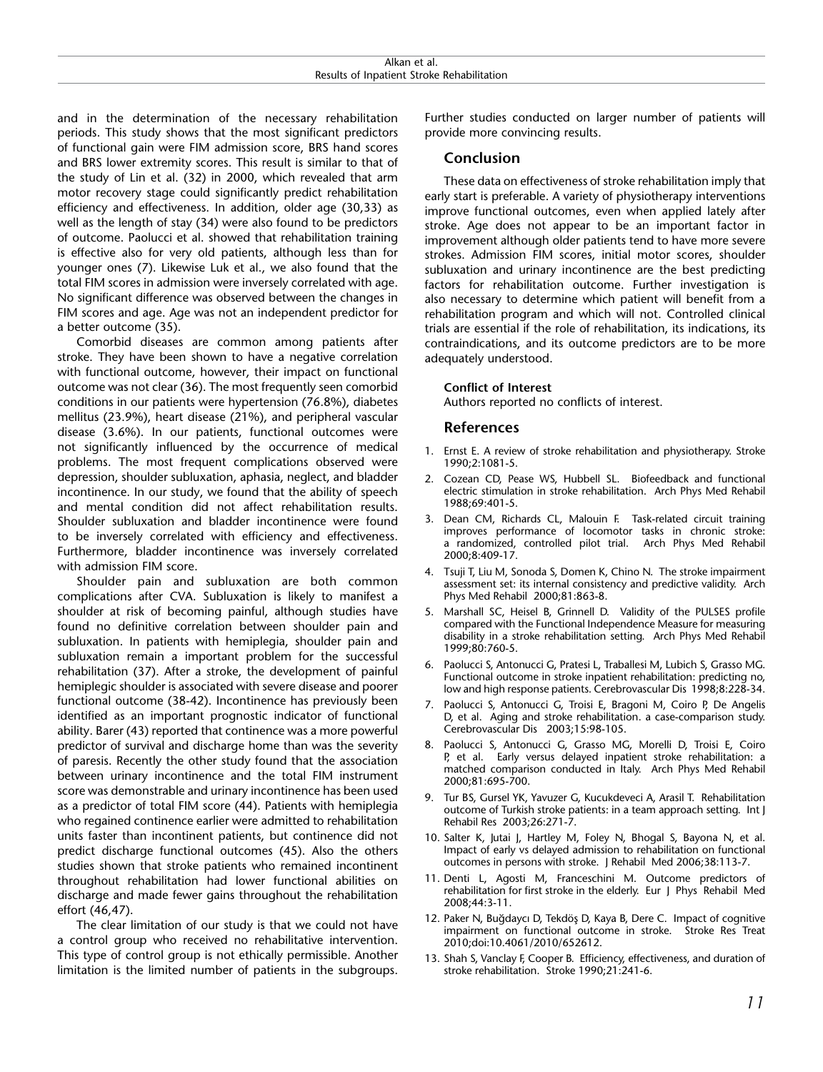| Alkan<br>aт<br>aı.<br>.                                                     |
|-----------------------------------------------------------------------------|
| <br>abilitation<br>りへへ<br>.utr<br>ationt<br><b>STROKE</b><br>.<br>rc<br>. . |

and in the determination of the necessary rehabilitation periods. This study shows that the most significant predictors of functional gain were FIM admission score, BRS hand scores and BRS lower extremity scores. This result is similar to that of the study of Lin et al. (32) in 2000, which revealed that arm motor recovery stage could significantly predict rehabilitation efficiency and effectiveness. In addition, older age (30,33) as well as the length of stay (34) were also found to be predictors of outcome. Paolucci et al. showed that rehabilitation training is effective also for very old patients, although less than for younger ones (7). Likewise Luk et al., we also found that the total FIM scores in admission were inversely correlated with age. No significant difference was observed between the changes in FIM scores and age. Age was not an independent predictor for a better outcome (35).

Comorbid diseases are common among patients after stroke. They have been shown to have a negative correlation with functional outcome, however, their impact on functional outcome was not clear (36). The most frequently seen comorbid conditions in our patients were hypertension (76.8%), diabetes mellitus (23.9%), heart disease (21%), and peripheral vascular disease (3.6%). In our patients, functional outcomes were not significantly influenced by the occurrence of medical problems. The most frequent complications observed were depression, shoulder subluxation, aphasia, neglect, and bladder incontinence. In our study, we found that the ability of speech and mental condition did not affect rehabilitation results. Shoulder subluxation and bladder incontinence were found to be inversely correlated with efficiency and effectiveness. Furthermore, bladder incontinence was inversely correlated with admission FIM score.

Shoulder pain and subluxation are both common complications after CVA. Subluxation is likely to manifest a shoulder at risk of becoming painful, although studies have found no definitive correlation between shoulder pain and subluxation. In patients with hemiplegia, shoulder pain and subluxation remain a important problem for the successful rehabilitation (37). After a stroke, the development of painful hemiplegic shoulder is associated with severe disease and poorer functional outcome (38-42). Incontinence has previously been identified as an important prognostic indicator of functional ability. Barer (43) reported that continence was a more powerful predictor of survival and discharge home than was the severity of paresis. Recently the other study found that the association between urinary incontinence and the total FIM instrument score was demonstrable and urinary incontinence has been used as a predictor of total FIM score (44). Patients with hemiplegia who regained continence earlier were admitted to rehabilitation units faster than incontinent patients, but continence did not predict discharge functional outcomes (45). Also the others studies shown that stroke patients who remained incontinent throughout rehabilitation had lower functional abilities on discharge and made fewer gains throughout the rehabilitation effort (46,47).

The clear limitation of our study is that we could not have a control group who received no rehabilitative intervention. This type of control group is not ethically permissible. Another limitation is the limited number of patients in the subgroups.

Further studies conducted on larger number of patients will provide more convincing results.

# **Conclusion**

These data on effectiveness of stroke rehabilitation imply that early start is preferable. A variety of physiotherapy interventions improve functional outcomes, even when applied lately after stroke. Age does not appear to be an important factor in improvement although older patients tend to have more severe strokes. Admission FIM scores, initial motor scores, shoulder subluxation and urinary incontinence are the best predicting factors for rehabilitation outcome. Further investigation is also necessary to determine which patient will benefit from a rehabilitation program and which will not. Controlled clinical trials are essential if the role of rehabilitation, its indications, its contraindications, and its outcome predictors are to be more adequately understood.

#### **Conflict of Interest**

Authors reported no conflicts of interest.

#### **References**

- 1. Ernst E. A review of stroke rehabilitation and physiotherapy. Stroke 1990;2:1081-5.
- 2. Cozean CD, Pease WS, Hubbell SL. Biofeedback and functional electric stimulation in stroke rehabilitation. Arch Phys Med Rehabil 1988;69:401-5.
- 3. Dean CM, Richards CL, Malouin F. Task-related circuit training improves performance of locomotor tasks in chronic stroke: a randomized, controlled pilot trial. Arch Phys Med Rehabil 2000;8:409-17.
- 4. Tsuji T, Liu M, Sonoda S, Domen K, Chino N. The stroke impairment assessment set: its internal consistency and predictive validity. Arch Phys Med Rehabil 2000;81:863-8.
- 5. Marshall SC, Heisel B, Grinnell D. Validity of the PULSES profile compared with the Functional Independence Measure for measuring disability in a stroke rehabilitation setting. Arch Phys Med Rehabil 1999;80:760-5.
- 6. Paolucci S, Antonucci G, Pratesi L, Traballesi M, Lubich S, Grasso MG. Functional outcome in stroke inpatient rehabilitation: predicting no, low and high response patients. Cerebrovascular Dis 1998;8:228-34.
- 7. Paolucci S, Antonucci G, Troisi E, Bragoni M, Coiro P, De Angelis D, et al. Aging and stroke rehabilitation. a case-comparison study. Cerebrovascular Dis 2003;15:98-105.
- 8. Paolucci S, Antonucci G, Grasso MG, Morelli D, Troisi E, Coiro P, et al. Early versus delayed inpatient stroke rehabilitation: a matched comparison conducted in Italy. Arch Phys Med Rehabil 2000;81:695-700.
- 9. Tur BS, Gursel YK, Yavuzer G, Kucukdeveci A, Arasil T. Rehabilitation outcome of Turkish stroke patients: in a team approach setting. Int J Rehabil Res 2003;26:271-7.
- 10. Salter K, Jutai J, Hartley M, Foley N, Bhogal S, Bayona N, et al. Impact of early vs delayed admission to rehabilitation on functional outcomes in persons with stroke. J Rehabil Med 2006;38:113-7.
- 11. Denti L, Agosti M, Franceschini M. Outcome predictors of rehabilitation for first stroke in the elderly. Eur J Phys Rehabil Med 2008;44:3-11.
- 12. Paker N, Buğdaycı D, Tekdöş D, Kaya B, Dere C. Impact of cognitive impairment on functional outcome in stroke. Stroke Res Treat 2010;doi:10.4061/2010/652612.
- 13. Shah S, Vanclay F, Cooper B. Efficiency, effectiveness, and duration of stroke rehabilitation. Stroke 1990;21:241-6.